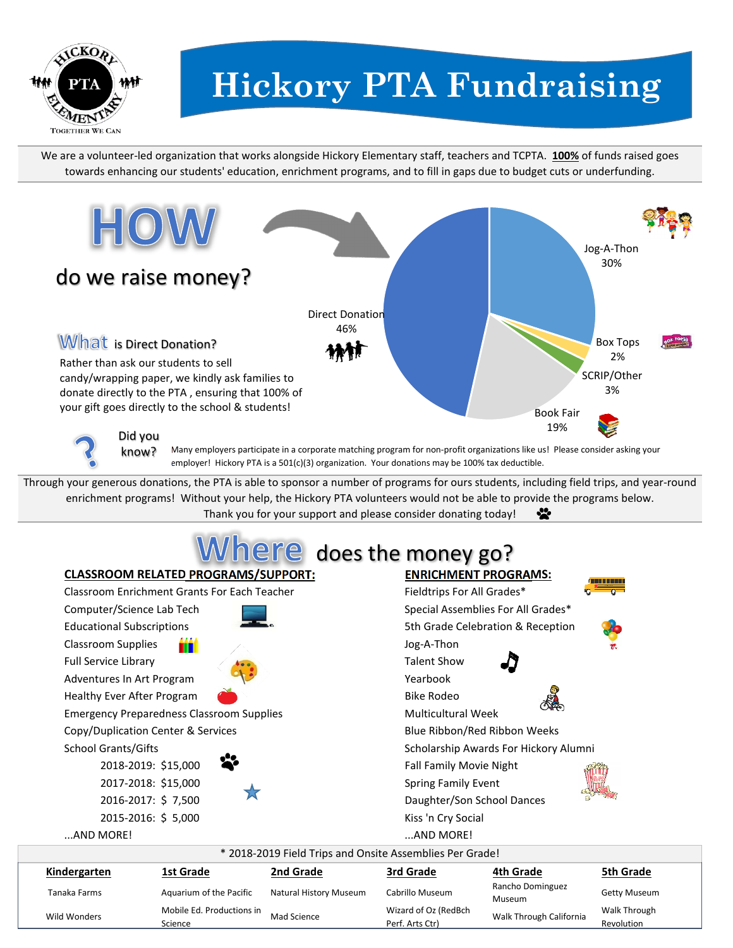

Wild Wonders Mobile Ed. Productions in Science

## **Hickory PTA Fundraising**

We are a volunteer-led organization that works alongside Hickory Elementary staff, teachers and TCPTA. **100%** of funds raised goes towards enhancing our students' education, enrichment programs, and to fill in gaps due to budget cuts or underfunding.



Mad Science Wizard of Oz (RedBch<br>Perf. Arts Ctr)

Walk Through California Walk Through

Revolution